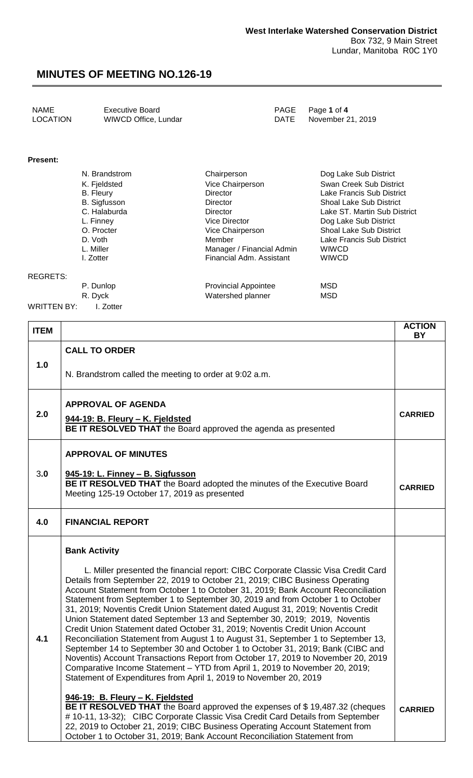| <b>LOCATION</b><br>WIWCD Office, Lundar<br>DATE November 21, 2019 | <b>NAME</b> | <b>Executive Board</b> |  | PAGE Page 1 of 4 |
|-------------------------------------------------------------------|-------------|------------------------|--|------------------|
|-------------------------------------------------------------------|-------------|------------------------|--|------------------|

#### **Present:**

| N. Brandstrom       | Chairperson               | Dog Lake Sub District          |
|---------------------|---------------------------|--------------------------------|
| K. Fjeldsted        | Vice Chairperson          | Swan Creek Sub District        |
| <b>B.</b> Fleury    | Director                  | Lake Francis Sub District      |
| <b>B.</b> Sigfusson | Director                  | Shoal Lake Sub District        |
| C. Halaburda        | Director                  | Lake ST. Martin Sub District   |
| L. Finney           | Vice Director             | Dog Lake Sub District          |
| O. Procter          | Vice Chairperson          | <b>Shoal Lake Sub District</b> |
| D. Voth             | Member                    | Lake Francis Sub District      |
| L. Miller           | Manager / Financial Admin | <b>WIWCD</b>                   |
| I. Zotter           | Financial Adm. Assistant  | <b>WIWCD</b>                   |
|                     |                           |                                |
|                     |                           |                                |

REGRETS:

P. Dunlop **Provincial Appointee** MSD R. Dyck MSD Watershed planner MSD

WRITTEN BY: I. Zotter

| <b>ITEM</b> |                                                                                                                                                                                                                                                                                                                                                                                                                                                                                                                                                                                                                                                                                                                                                                                                                                                                                                                                                                                                          | <b>ACTION</b><br><b>BY</b> |
|-------------|----------------------------------------------------------------------------------------------------------------------------------------------------------------------------------------------------------------------------------------------------------------------------------------------------------------------------------------------------------------------------------------------------------------------------------------------------------------------------------------------------------------------------------------------------------------------------------------------------------------------------------------------------------------------------------------------------------------------------------------------------------------------------------------------------------------------------------------------------------------------------------------------------------------------------------------------------------------------------------------------------------|----------------------------|
|             | <b>CALL TO ORDER</b>                                                                                                                                                                                                                                                                                                                                                                                                                                                                                                                                                                                                                                                                                                                                                                                                                                                                                                                                                                                     |                            |
| 1.0         | N. Brandstrom called the meeting to order at 9:02 a.m.                                                                                                                                                                                                                                                                                                                                                                                                                                                                                                                                                                                                                                                                                                                                                                                                                                                                                                                                                   |                            |
|             | <b>APPROVAL OF AGENDA</b>                                                                                                                                                                                                                                                                                                                                                                                                                                                                                                                                                                                                                                                                                                                                                                                                                                                                                                                                                                                |                            |
| 2.0         | 944-19: B. Fleury - K. Fjeldsted<br>BE IT RESOLVED THAT the Board approved the agenda as presented                                                                                                                                                                                                                                                                                                                                                                                                                                                                                                                                                                                                                                                                                                                                                                                                                                                                                                       | <b>CARRIED</b>             |
|             | <b>APPROVAL OF MINUTES</b>                                                                                                                                                                                                                                                                                                                                                                                                                                                                                                                                                                                                                                                                                                                                                                                                                                                                                                                                                                               |                            |
| 3.0         | 945-19: L. Finney - B. Sigfusson<br>BE IT RESOLVED THAT the Board adopted the minutes of the Executive Board<br>Meeting 125-19 October 17, 2019 as presented                                                                                                                                                                                                                                                                                                                                                                                                                                                                                                                                                                                                                                                                                                                                                                                                                                             | <b>CARRIED</b>             |
| 4.0         | <b>FINANCIAL REPORT</b>                                                                                                                                                                                                                                                                                                                                                                                                                                                                                                                                                                                                                                                                                                                                                                                                                                                                                                                                                                                  |                            |
|             | <b>Bank Activity</b>                                                                                                                                                                                                                                                                                                                                                                                                                                                                                                                                                                                                                                                                                                                                                                                                                                                                                                                                                                                     |                            |
| 4.1         | L. Miller presented the financial report: CIBC Corporate Classic Visa Credit Card<br>Details from September 22, 2019 to October 21, 2019; CIBC Business Operating<br>Account Statement from October 1 to October 31, 2019; Bank Account Reconciliation<br>Statement from September 1 to September 30, 2019 and from October 1 to October<br>31, 2019; Noventis Credit Union Statement dated August 31, 2019; Noventis Credit<br>Union Statement dated September 13 and September 30, 2019; 2019, Noventis<br>Credit Union Statement dated October 31, 2019; Noventis Credit Union Account<br>Reconciliation Statement from August 1 to August 31, September 1 to September 13,<br>September 14 to September 30 and October 1 to October 31, 2019; Bank (CIBC and<br>Noventis) Account Transactions Report from October 17, 2019 to November 20, 2019<br>Comparative Income Statement - YTD from April 1, 2019 to November 20, 2019;<br>Statement of Expenditures from April 1, 2019 to November 20, 2019 |                            |
|             | 946-19: B. Fleury - K. Fjeldsted<br>BE IT RESOLVED THAT the Board approved the expenses of \$19,487.32 (cheques<br># 10-11, 13-32); CIBC Corporate Classic Visa Credit Card Details from September<br>22, 2019 to October 21, 2019; CIBC Business Operating Account Statement from<br>October 1 to October 31, 2019; Bank Account Reconciliation Statement from                                                                                                                                                                                                                                                                                                                                                                                                                                                                                                                                                                                                                                          | <b>CARRIED</b>             |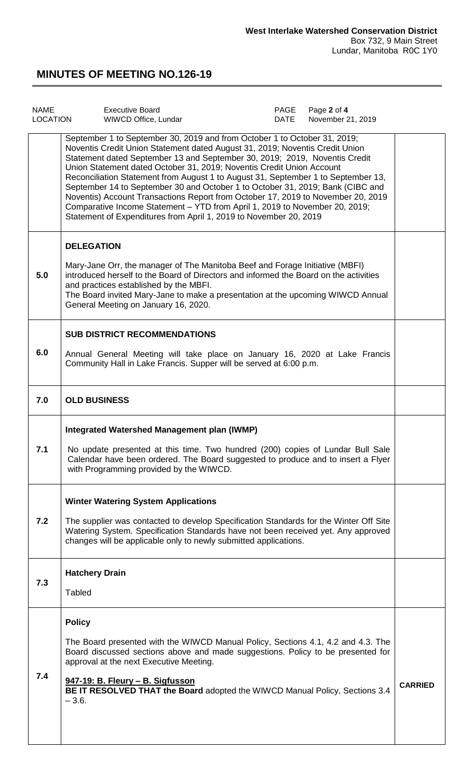| <b>NAME</b><br>LOCATION | <b>Executive Board</b><br>WIWCD Office, Lundar                                                                                                                                                                                                                                                                                                                                                                                                                                                                                                                                                                                                                                                                                  | PAGE<br><b>DATE</b> | Page 2 of 4<br>November 21, 2019 |                |
|-------------------------|---------------------------------------------------------------------------------------------------------------------------------------------------------------------------------------------------------------------------------------------------------------------------------------------------------------------------------------------------------------------------------------------------------------------------------------------------------------------------------------------------------------------------------------------------------------------------------------------------------------------------------------------------------------------------------------------------------------------------------|---------------------|----------------------------------|----------------|
|                         | September 1 to September 30, 2019 and from October 1 to October 31, 2019;<br>Noventis Credit Union Statement dated August 31, 2019; Noventis Credit Union<br>Statement dated September 13 and September 30, 2019; 2019, Noventis Credit<br>Union Statement dated October 31, 2019; Noventis Credit Union Account<br>Reconciliation Statement from August 1 to August 31, September 1 to September 13,<br>September 14 to September 30 and October 1 to October 31, 2019; Bank (CIBC and<br>Noventis) Account Transactions Report from October 17, 2019 to November 20, 2019<br>Comparative Income Statement - YTD from April 1, 2019 to November 20, 2019;<br>Statement of Expenditures from April 1, 2019 to November 20, 2019 |                     |                                  |                |
| 5.0                     | <b>DELEGATION</b><br>Mary-Jane Orr, the manager of The Manitoba Beef and Forage Initiative (MBFI)<br>introduced herself to the Board of Directors and informed the Board on the activities<br>and practices established by the MBFI.<br>The Board invited Mary-Jane to make a presentation at the upcoming WIWCD Annual<br>General Meeting on January 16, 2020.                                                                                                                                                                                                                                                                                                                                                                 |                     |                                  |                |
| 6.0                     | <b>SUB DISTRICT RECOMMENDATIONS</b><br>Annual General Meeting will take place on January 16, 2020 at Lake Francis<br>Community Hall in Lake Francis. Supper will be served at 6:00 p.m.                                                                                                                                                                                                                                                                                                                                                                                                                                                                                                                                         |                     |                                  |                |
| 7.0                     | <b>OLD BUSINESS</b>                                                                                                                                                                                                                                                                                                                                                                                                                                                                                                                                                                                                                                                                                                             |                     |                                  |                |
| 7.1                     | <b>Integrated Watershed Management plan (IWMP)</b><br>No update presented at this time. Two hundred (200) copies of Lundar Bull Sale<br>Calendar have been ordered. The Board suggested to produce and to insert a Flyer<br>with Programming provided by the WIWCD.                                                                                                                                                                                                                                                                                                                                                                                                                                                             |                     |                                  |                |
| 7.2                     | <b>Winter Watering System Applications</b><br>The supplier was contacted to develop Specification Standards for the Winter Off Site<br>Watering System. Specification Standards have not been received yet. Any approved<br>changes will be applicable only to newly submitted applications.                                                                                                                                                                                                                                                                                                                                                                                                                                    |                     |                                  |                |
| 7.3                     | <b>Hatchery Drain</b><br><b>Tabled</b>                                                                                                                                                                                                                                                                                                                                                                                                                                                                                                                                                                                                                                                                                          |                     |                                  |                |
| 7.4                     | <b>Policy</b><br>The Board presented with the WIWCD Manual Policy, Sections 4.1, 4.2 and 4.3. The<br>Board discussed sections above and made suggestions. Policy to be presented for<br>approval at the next Executive Meeting.<br>947-19: B. Fleury - B. Sigfusson<br>BE IT RESOLVED THAT the Board adopted the WIWCD Manual Policy, Sections 3.4<br>$-3.6.$                                                                                                                                                                                                                                                                                                                                                                   |                     |                                  | <b>CARRIED</b> |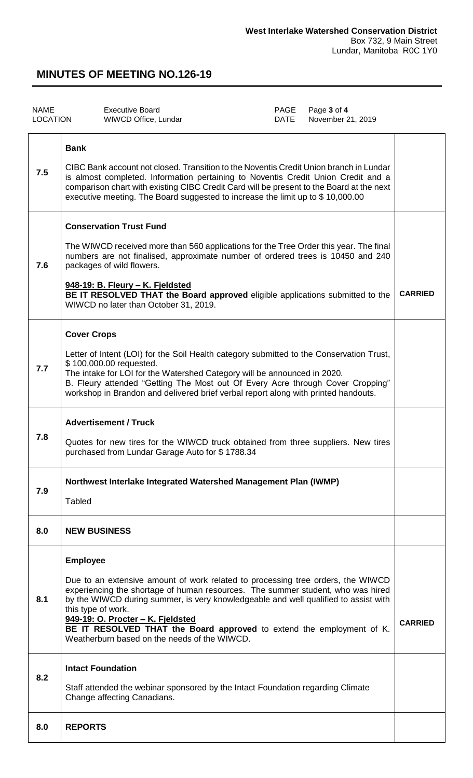| <b>NAME</b><br><b>LOCATION</b> |                                       | <b>Executive Board</b><br>WIWCD Office, Lundar                                                                                                                                                                                                                                                                                                                                                                          | PAGE<br>DATE | Page 3 of 4<br>November 21, 2019 |                |
|--------------------------------|---------------------------------------|-------------------------------------------------------------------------------------------------------------------------------------------------------------------------------------------------------------------------------------------------------------------------------------------------------------------------------------------------------------------------------------------------------------------------|--------------|----------------------------------|----------------|
| 7.5                            | <b>Bank</b>                           | CIBC Bank account not closed. Transition to the Noventis Credit Union branch in Lundar<br>is almost completed. Information pertaining to Noventis Credit Union Credit and a<br>comparison chart with existing CIBC Credit Card will be present to the Board at the next<br>executive meeting. The Board suggested to increase the limit up to \$10,000.00                                                               |              |                                  |                |
| 7.6                            |                                       | <b>Conservation Trust Fund</b><br>The WIWCD received more than 560 applications for the Tree Order this year. The final<br>numbers are not finalised, approximate number of ordered trees is 10450 and 240<br>packages of wild flowers.<br>948-19: B. Fleury - K. Fjeldsted<br>BE IT RESOLVED THAT the Board approved eligible applications submitted to the<br>WIWCD no later than October 31, 2019.                   |              |                                  | <b>CARRIED</b> |
| 7.7                            | <b>Cover Crops</b>                    | Letter of Intent (LOI) for the Soil Health category submitted to the Conservation Trust,<br>\$100,000.00 requested.<br>The intake for LOI for the Watershed Category will be announced in 2020.<br>B. Fleury attended "Getting The Most out Of Every Acre through Cover Cropping"<br>workshop in Brandon and delivered brief verbal report along with printed handouts.                                                 |              |                                  |                |
| 7.8                            |                                       | <b>Advertisement / Truck</b><br>Quotes for new tires for the WIWCD truck obtained from three suppliers. New tires<br>purchased from Lundar Garage Auto for \$1788.34                                                                                                                                                                                                                                                    |              |                                  |                |
| 7.9                            | <b>Tabled</b>                         | Northwest Interlake Integrated Watershed Management Plan (IWMP)                                                                                                                                                                                                                                                                                                                                                         |              |                                  |                |
| 8.0                            | <b>NEW BUSINESS</b>                   |                                                                                                                                                                                                                                                                                                                                                                                                                         |              |                                  |                |
| 8.1                            | <b>Employee</b><br>this type of work. | Due to an extensive amount of work related to processing tree orders, the WIWCD<br>experiencing the shortage of human resources. The summer student, who was hired<br>by the WIWCD during summer, is very knowledgeable and well qualified to assist with<br>949-19: O. Procter - K. Fjeldsted<br>BE IT RESOLVED THAT the Board approved to extend the employment of K.<br>Weatherburn based on the needs of the WIWCD. |              |                                  | <b>CARRIED</b> |
| 8.2                            | <b>Intact Foundation</b>              | Staff attended the webinar sponsored by the Intact Foundation regarding Climate<br>Change affecting Canadians.                                                                                                                                                                                                                                                                                                          |              |                                  |                |
| 8.0                            | <b>REPORTS</b>                        |                                                                                                                                                                                                                                                                                                                                                                                                                         |              |                                  |                |